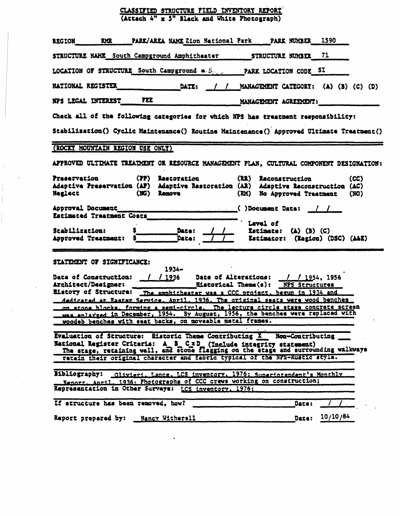## CLASSIFIED STRUCTURE FIELD INVENTORY REPORT (Atcaeh 4" x 3" Black and Vhita Phocograph)

| PARK/AREA NAME Zion National Park RARK NUMBER 1590<br><b>RMR</b><br><b>REGION</b>                                                                                                                                           |  |  |  |  |  |  |  |  |  |
|-----------------------------------------------------------------------------------------------------------------------------------------------------------------------------------------------------------------------------|--|--|--|--|--|--|--|--|--|
| STRUCTURE NAME South Campground Amphitheater<br>STRUCTURE NUMBER 71                                                                                                                                                         |  |  |  |  |  |  |  |  |  |
| LOCATION OF STRUCTURE South Campground a Service PARK LOCATION CODE SI                                                                                                                                                      |  |  |  |  |  |  |  |  |  |
| NATIONAL REGISTER<br>DATE: / / MANAGEMENT CATEGORY: (A) (B) (C) (D)                                                                                                                                                         |  |  |  |  |  |  |  |  |  |
| NPS LEGAL INTEREST FEE<br>MANAGEMENT AGREEMENT:                                                                                                                                                                             |  |  |  |  |  |  |  |  |  |
| Check all of the following categories for which NPS has treatment responsibility:                                                                                                                                           |  |  |  |  |  |  |  |  |  |
| Stabilization() Cyclic Maintenance() Routine Maintenance() Approved Ultimate Treatment()                                                                                                                                    |  |  |  |  |  |  |  |  |  |
| (ROCKY MOUNTAIN REGION USE ONLY)                                                                                                                                                                                            |  |  |  |  |  |  |  |  |  |
| APPROVED ULTIMATE TREAIMENT OR RESOURCE MANAGEMENT PLAN. CULTURAL COMPONENT DESIGNATION:                                                                                                                                    |  |  |  |  |  |  |  |  |  |
| Prasarvation<br>(PP) Restoration<br>(RR) Reconstruction<br>(CC)<br>Adaptive Preservation (AP) Adaptive Restoration (AR) Adaptive Reconstruction (AC)<br><b>Neglect</b><br>(NG) Remove<br>(RM) No Approved Treatment<br>(NO) |  |  |  |  |  |  |  |  |  |
| Approval Document<br>$\sim$ ()Document Date: $/$ /<br>Estimated Treatment Costs                                                                                                                                             |  |  |  |  |  |  |  |  |  |
| Level of<br>Stabilization:<br>Daze:<br>Estimate: $(A)$ $(B)$ $(C)$<br>Date:<br>Estimator: (Region) (DSC) (A&E)<br>Approved Treatment:                                                                                       |  |  |  |  |  |  |  |  |  |
| STATEMENT OF SIGNIFICANCE:<br>$1934 -$                                                                                                                                                                                      |  |  |  |  |  |  |  |  |  |
| $/$ / 1936<br>$\frac{1}{1954}$ , 1956<br>Date of Construction:<br>Date of Alterations:                                                                                                                                      |  |  |  |  |  |  |  |  |  |
| Architect/Designer:<br>NPS Structures<br><b>Historical Theme(s):</b>                                                                                                                                                        |  |  |  |  |  |  |  |  |  |
| Eistory of Structure: The amphitheater was a CCC project, begun in 1934 and<br>dedicated at Easter Service, April, 1936. The original seats were wood benches                                                               |  |  |  |  |  |  |  |  |  |
| on stone blocks. forming a semi-circle. The lecture circle stage concrete screen                                                                                                                                            |  |  |  |  |  |  |  |  |  |
| was enlarged in December, 1954. By August, 1956, the benches were replaced with<br>woodeb benches with seat backs, on moveable metal frames.                                                                                |  |  |  |  |  |  |  |  |  |
|                                                                                                                                                                                                                             |  |  |  |  |  |  |  |  |  |
| Evaluation of Structure: Historic Theme Contributing X Non-Contributing<br>National Register Criteria: A B CxD (Include integrity statement)                                                                                |  |  |  |  |  |  |  |  |  |
| The stage, retaining wall, and stone flagging on the stage and surrounding walkways<br>retain their original character and fabric typical of the NPS-Rustic style.                                                          |  |  |  |  |  |  |  |  |  |
| Bibliography: _01tvieri. Lance. LCS inventory, 1976: Sunerintendent's Monthly                                                                                                                                               |  |  |  |  |  |  |  |  |  |
| Report. April. 1936: Photographs of CCC crews working on construction;<br>Representation in Other Surveys: LCS inventory, 1976;                                                                                             |  |  |  |  |  |  |  |  |  |
|                                                                                                                                                                                                                             |  |  |  |  |  |  |  |  |  |
| If structure has been removed, how?<br>Date:                                                                                                                                                                                |  |  |  |  |  |  |  |  |  |

 $\bullet$ 

 $\bar{1}$ 

 $\frac{1}{l}$  $\vert$   $\sim 10^7$ 

 $\ddot{\phantom{a}}$